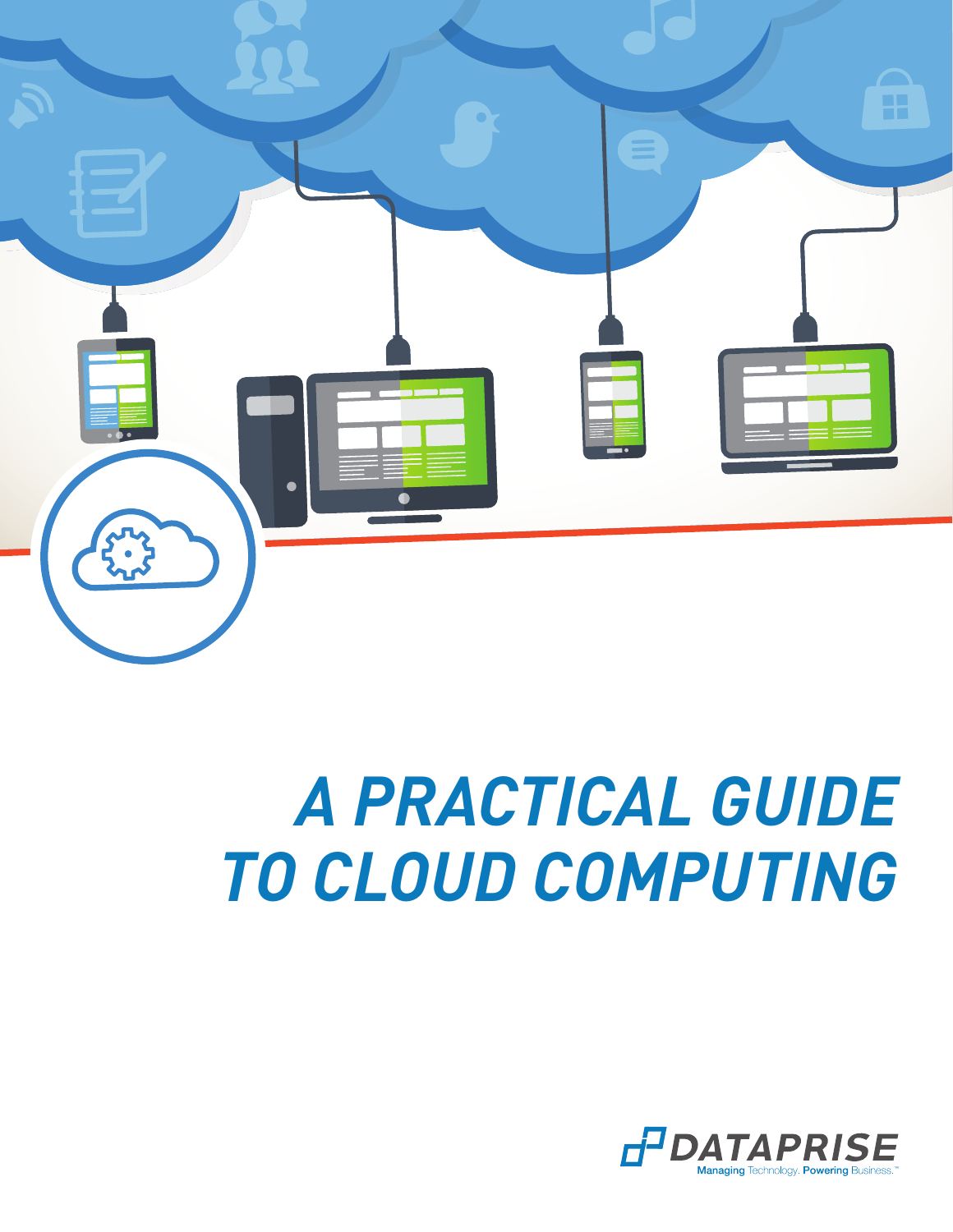

# *A PRACTICAL GUIDE TO CLOUD COMPUTING*

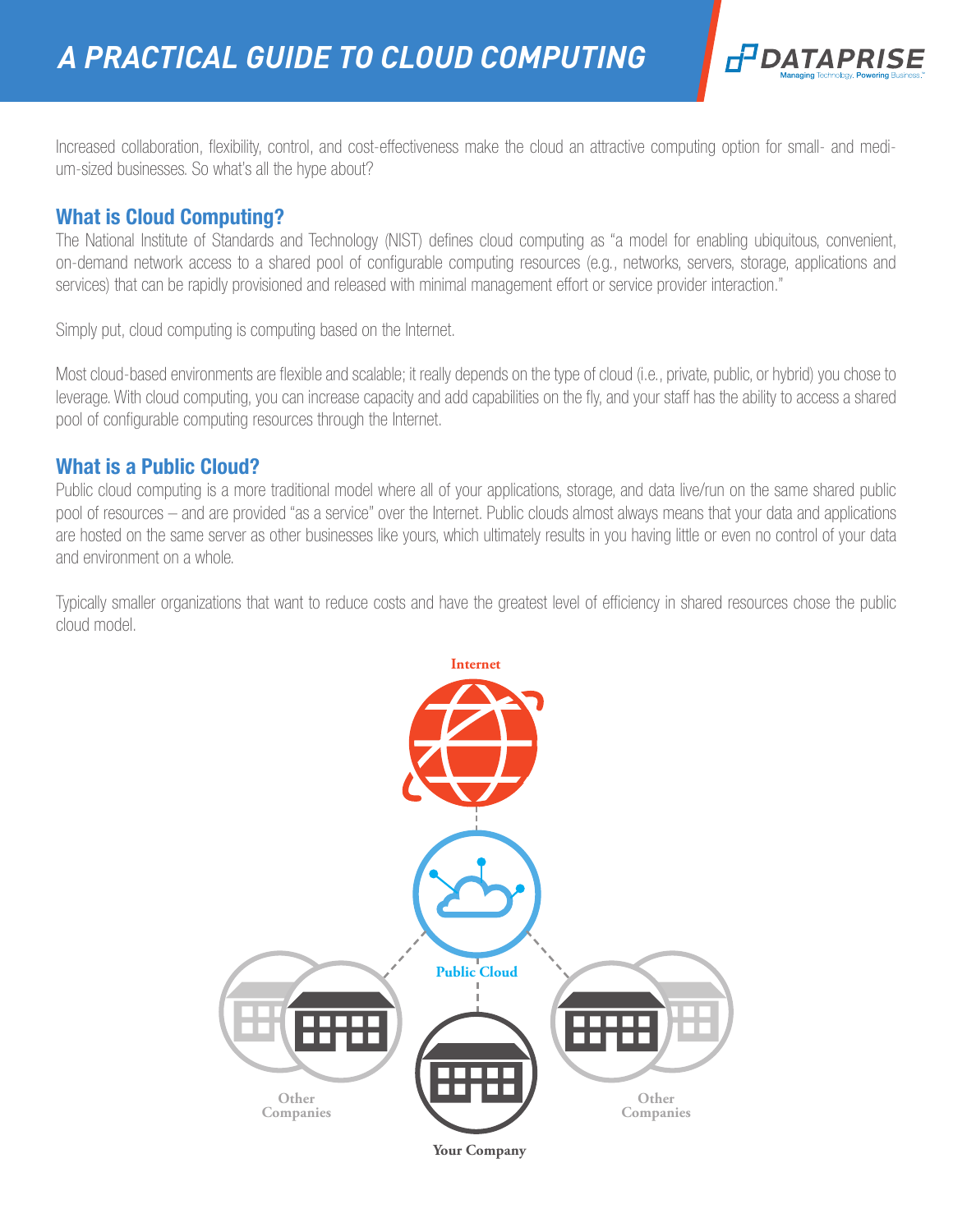

Increased collaboration, flexibility, control, and cost-effectiveness make the cloud an attractive computing option for small- and medium-sized businesses. So what's all the hype about?

# What is Cloud Computing?

The National Institute of Standards and Technology (NIST) defines cloud computing as "a model for enabling ubiquitous, convenient, on-demand network access to a shared pool of configurable computing resources (e.g., networks, servers, storage, applications and services) that can be rapidly provisioned and released with minimal management effort or service provider interaction."

Simply put, cloud computing is computing based on the Internet.

Most cloud-based environments are flexible and scalable; it really depends on the type of cloud (i.e., private, public, or hybrid) you chose to leverage. With cloud computing, you can increase capacity and add capabilities on the fly, and your staff has the ability to access a shared pool of configurable computing resources through the Internet.

## What is a Public Cloud?

Public cloud computing is a more traditional model where all of your applications, storage, and data live/run on the same shared public pool of resources – and are provided "as a service" over the Internet. Public clouds almost always means that your data and applications are hosted on the same server as other businesses like yours, which ultimately results in you having little or even no control of your data and environment on a whole.

Typically smaller organizations that want to reduce costs and have the greatest level of efficiency in shared resources chose the public cloud model.

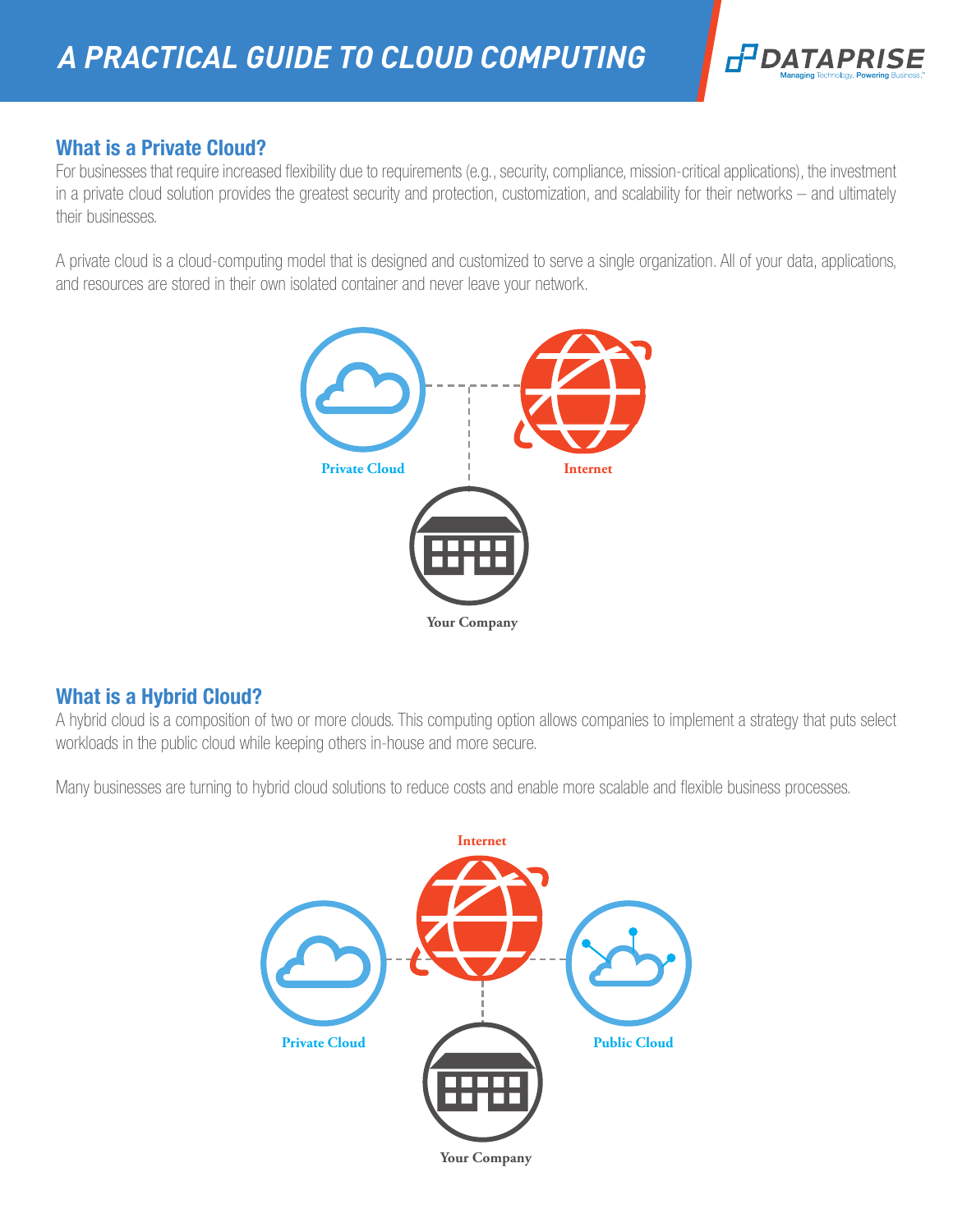

# What is a Private Cloud?

For businesses that require increased flexibility due to requirements (e.g., security, compliance, mission-critical applications), the investment in a private cloud solution provides the greatest security and protection, customization, and scalability for their networks – and ultimately their businesses.

A private cloud is a cloud-computing model that is designed and customized to serve a single organization. All of your data, applications, and resources are stored in their own isolated container and never leave your network.



# What is a Hybrid Cloud?

A hybrid cloud is a composition of two or more clouds. This computing option allows companies to implement a strategy that puts select workloads in the public cloud while keeping others in-house and more secure.

Many businesses are turning to hybrid cloud solutions to reduce costs and enable more scalable and flexible business processes.

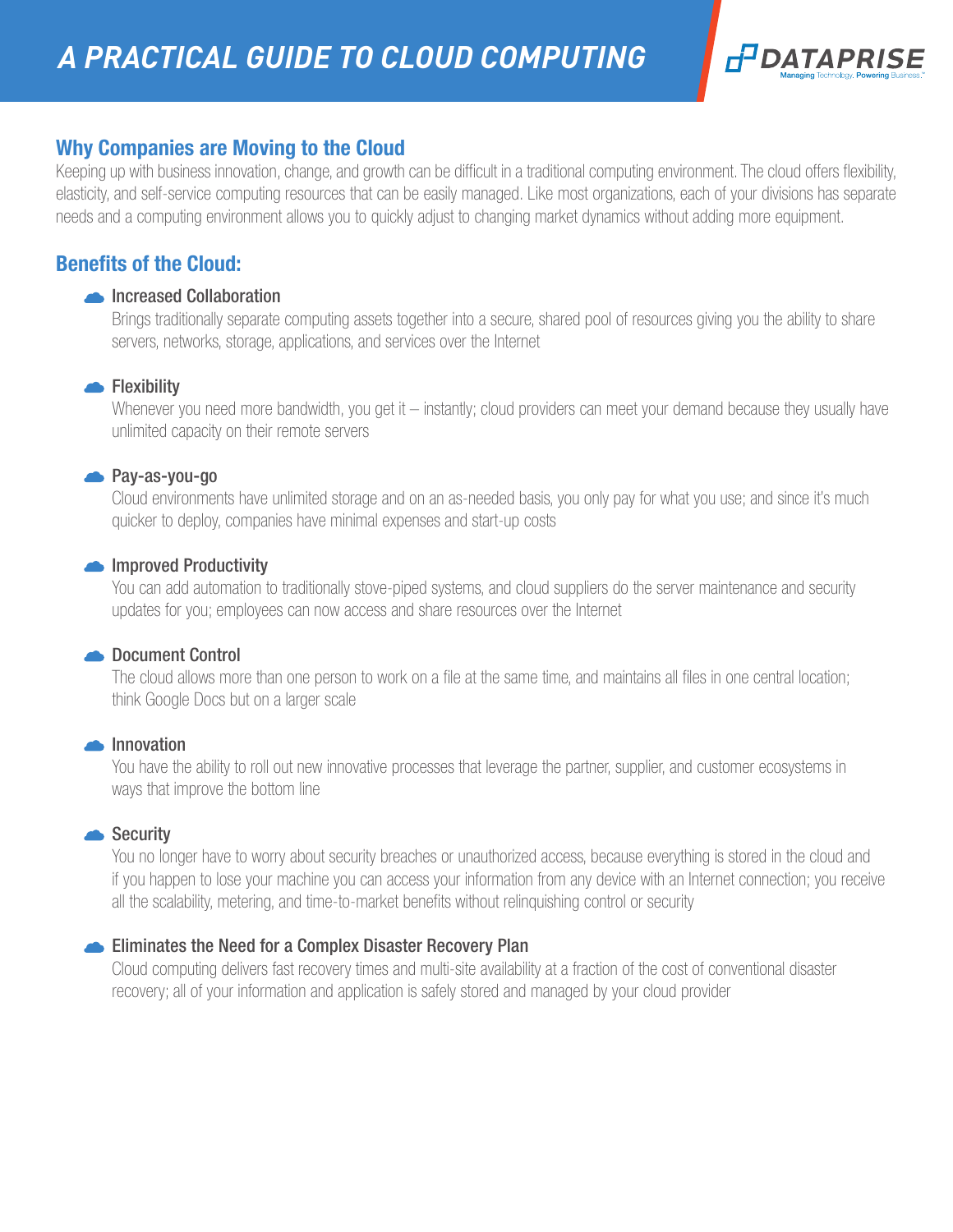

## Why Companies are Moving to the Cloud

Keeping up with business innovation, change, and growth can be difficult in a traditional computing environment. The cloud offers flexibility, elasticity, and self-service computing resources that can be easily managed. Like most organizations, each of your divisions has separate needs and a computing environment allows you to quickly adjust to changing market dynamics without adding more equipment.

# Benefits of the Cloud:

#### **Increased Collaboration**

 Brings traditionally separate computing assets together into a secure, shared pool of resources giving you the ability to share servers, networks, storage, applications, and services over the Internet

#### **Flexibility**

Whenever you need more bandwidth, you get it – instantly; cloud providers can meet your demand because they usually have unlimited capacity on their remote servers

#### Pay-as-you-go

 Cloud environments have unlimited storage and on an as-needed basis, you only pay for what you use; and since it's much quicker to deploy, companies have minimal expenses and start-up costs

#### **Improved Productivity**

 You can add automation to traditionally stove-piped systems, and cloud suppliers do the server maintenance and security updates for you; employees can now access and share resources over the Internet

#### **Document Control**

 The cloud allows more than one person to work on a file at the same time, and maintains all files in one central location; think Google Docs but on a larger scale

#### **Innovation**

 You have the ability to roll out new innovative processes that leverage the partner, supplier, and customer ecosystems in ways that improve the bottom line

#### Security

 You no longer have to worry about security breaches or unauthorized access, because everything is stored in the cloud and if you happen to lose your machine you can access your information from any device with an Internet connection; you receive all the scalability, metering, and time-to-market benefits without relinquishing control or security

#### Eliminates the Need for a Complex Disaster Recovery Plan

 Cloud computing delivers fast recovery times and multi-site availability at a fraction of the cost of conventional disaster recovery; all of your information and application is safely stored and managed by your cloud provider